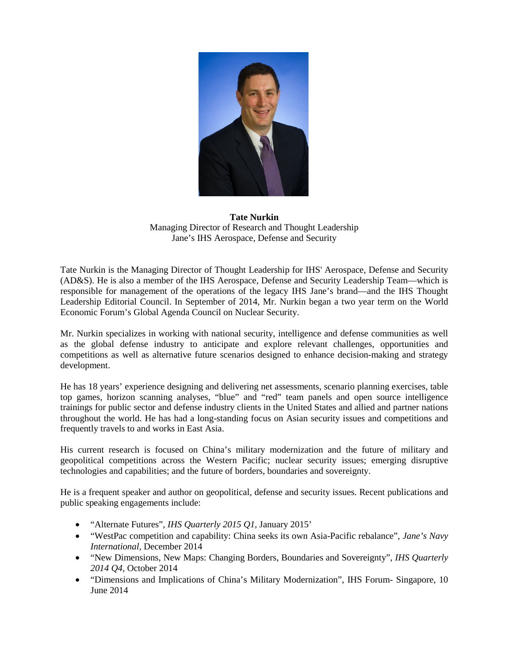

**Tate Nurkin** Managing Director of Research and Thought Leadership Jane's IHS Aerospace, Defense and Security

Tate Nurkin is the Managing Director of Thought Leadership for IHS' Aerospace, Defense and Security (AD&S). He is also a member of the IHS Aerospace, Defense and Security Leadership Team—which is responsible for management of the operations of the legacy IHS Jane's brand—and the IHS Thought Leadership Editorial Council. In September of 2014, Mr. Nurkin began a two year term on the World Economic Forum's Global Agenda Council on Nuclear Security.

Mr. Nurkin specializes in working with national security, intelligence and defense communities as well as the global defense industry to anticipate and explore relevant challenges, opportunities and competitions as well as alternative future scenarios designed to enhance decision-making and strategy development.

He has 18 years' experience designing and delivering net assessments, scenario planning exercises, table top games, horizon scanning analyses, "blue" and "red" team panels and open source intelligence trainings for public sector and defense industry clients in the United States and allied and partner nations throughout the world. He has had a long-standing focus on Asian security issues and competitions and frequently travels to and works in East Asia.

His current research is focused on China's military modernization and the future of military and geopolitical competitions across the Western Pacific; nuclear security issues; emerging disruptive technologies and capabilities; and the future of borders, boundaries and sovereignty.

He is a frequent speaker and author on geopolitical, defense and security issues. Recent publications and public speaking engagements include:

- "Alternate Futures", *IHS Quarterly 2015 Q1,* January 2015'
- "WestPac competition and capability: China seeks its own Asia-Pacific rebalance", *Jane's Navy International,* December 2014
- "New Dimensions, New Maps: Changing Borders, Boundaries and Sovereignty", *IHS Quarterly 2014 Q4,* October 2014
- "Dimensions and Implications of China's Military Modernization", IHS Forum- Singapore, 10 June 2014